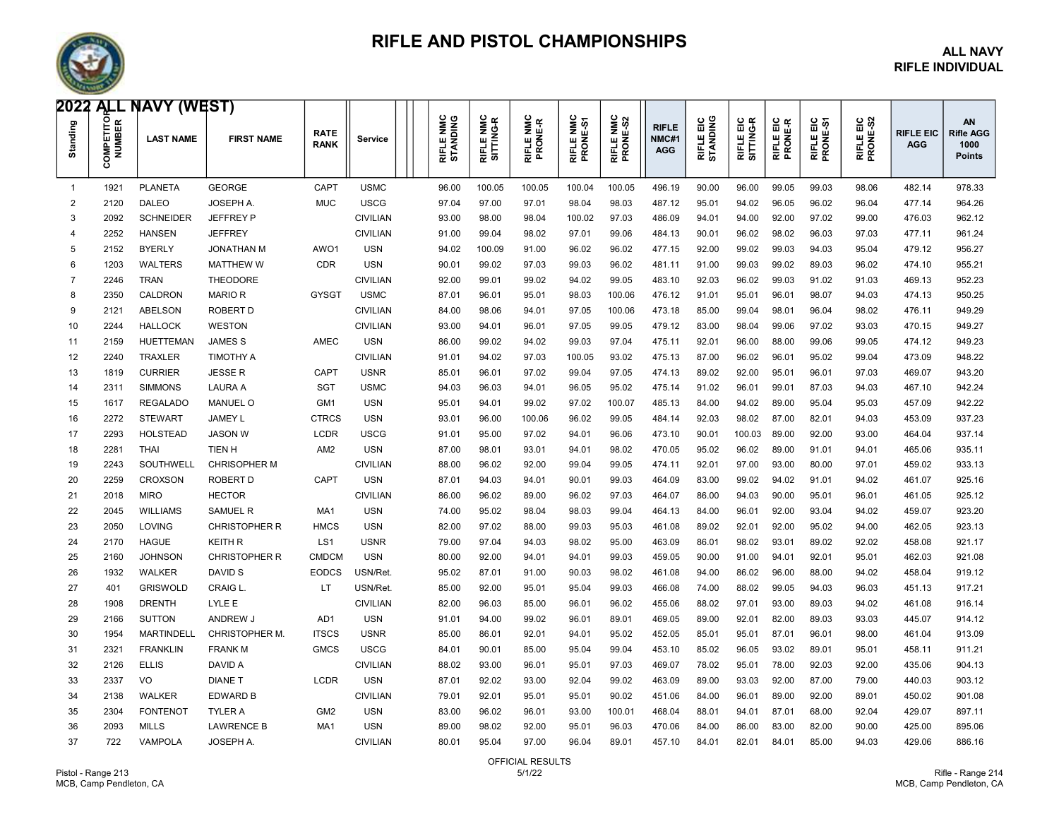

### RIFLE AND PISTOL CHAMPIONSHIPS ALL NAVY

## RIFLE INDIVIDUAL

|                | Ō    | <b>2022 ALL NAVY (WEST)</b><br>$\begin{bmatrix} 2 & 2 & 2 \\ 2 & 2 & 1 \\ 2 & 2 & 1 \\ 2 & 2 & 2 \\ 2 & 2 & 2 \end{bmatrix}$ LAST NAME | <b>FIRST NAME</b>    | <b>RATE</b><br><b>RANK</b> | Service         | RIFLE NMC<br>STANDING | RIFLE NMC<br>SITTING-R | RIFLE NMC<br>PRONE-R | RIFLE NMC<br>PRONE-S1 | ⊻ ୪<br>ଜୁ<br><b>RIFLE NI</b><br>PRONE- | <b>RIFLE</b><br>NMC#1<br>AGG | 음 일<br>RIFLE EIG<br>STANDIN | RIFLE EIC<br>SITTING-R | RIFLE EIC<br>PRONE-R | RIFLE EIC<br>PRONE-S1 | RIFLE EIC<br>PRONE-S2 | <b>RIFLE EIC</b><br><b>AGG</b> | <b>AN</b><br><b>Rifle AGG</b><br>1000<br><b>Points</b> |
|----------------|------|----------------------------------------------------------------------------------------------------------------------------------------|----------------------|----------------------------|-----------------|-----------------------|------------------------|----------------------|-----------------------|----------------------------------------|------------------------------|-----------------------------|------------------------|----------------------|-----------------------|-----------------------|--------------------------------|--------------------------------------------------------|
| $\overline{1}$ | 1921 | <b>PLANETA</b>                                                                                                                         | <b>GEORGE</b>        | CAPT                       | <b>USMC</b>     | 96.00                 | 100.05                 | 100.05               | 100.04                | 100.05                                 | 496.19                       | 90.00                       | 96.00                  | 99.05                | 99.03                 | 98.06                 | 482.14                         | 978.33                                                 |
| 2              | 2120 | <b>DALEO</b>                                                                                                                           | JOSEPH A             | <b>MUC</b>                 | <b>USCG</b>     | 97.04                 | 97.00                  | 97.01                | 98.04                 | 98.03                                  | 487.12                       | 95.01                       | 94.02                  | 96.05                | 96.02                 | 96.04                 | 477.14                         | 964.26                                                 |
| 3              | 2092 | <b>SCHNEIDER</b>                                                                                                                       | <b>JEFFREY P</b>     |                            | <b>CIVILIAN</b> | 93.00                 | 98.00                  | 98.04                | 100.02                | 97.03                                  | 486.09                       | 94.01                       | 94.00                  | 92.00                | 97.02                 | 99.00                 | 476.03                         | 962.12                                                 |
| $\Delta$       | 2252 | <b>HANSEN</b>                                                                                                                          | <b>JEFFREY</b>       |                            | <b>CIVILIAN</b> | 91.00                 | 99.04                  | 98.02                | 97.01                 | 99.06                                  | 484.13                       | 90.01                       | 96.02                  | 98.02                | 96.03                 | 97.03                 | 477.11                         | 961.24                                                 |
| 5              | 2152 | <b>BYERLY</b>                                                                                                                          | <b>JONATHAN M</b>    | AWO1                       | <b>USN</b>      | 94.02                 | 100.09                 | 91.00                | 96.02                 | 96.02                                  | 477.15                       | 92.00                       | 99.02                  | 99.03                | 94.03                 | 95.04                 | 479.12                         | 956.27                                                 |
| 6              | 1203 | <b>WALTERS</b>                                                                                                                         | <b>MATTHEW W</b>     | <b>CDR</b>                 | <b>USN</b>      | 90.01                 | 99.02                  | 97.03                | 99.03                 | 96.02                                  | 481.11                       | 91.00                       | 99.03                  | 99.02                | 89.03                 | 96.02                 | 474.10                         | 955.21                                                 |
| 7              | 2246 | TRAN                                                                                                                                   | <b>THEODORE</b>      |                            | <b>CIVILIAN</b> | 92.00                 | 99.01                  | 99.02                | 94.02                 | 99.05                                  | 483.10                       | 92.03                       | 96.02                  | 99.03                | 91.02                 | 91.03                 | 469.13                         | 952.23                                                 |
| 8              | 2350 | <b>CALDRON</b>                                                                                                                         | <b>MARIOR</b>        | <b>GYSGT</b>               | <b>USMC</b>     | 87.01                 | 96.01                  | 95.01                | 98.03                 | 100.06                                 | 476.12                       | 91.01                       | 95.01                  | 96.01                | 98.07                 | 94.03                 | 474.13                         | 950.25                                                 |
| 9              | 2121 | ABELSON                                                                                                                                | <b>ROBERT D</b>      |                            | <b>CIVILIAN</b> | 84.00                 | 98.06                  | 94.01                | 97.05                 | 100.06                                 | 473.18                       | 85.00                       | 99.04                  | 98.01                | 96.04                 | 98.02                 | 476.11                         | 949.29                                                 |
| 10             | 2244 | <b>HALLOCK</b>                                                                                                                         | <b>WESTON</b>        |                            | <b>CIVILIAN</b> | 93.00                 | 94.01                  | 96.01                | 97.05                 | 99.05                                  | 479.12                       | 83.00                       | 98.04                  | 99.06                | 97.02                 | 93.03                 | 470.15                         | 949.27                                                 |
| 11             | 2159 | <b>HUETTEMAN</b>                                                                                                                       | <b>JAMES S</b>       | <b>AMEC</b>                | <b>USN</b>      | 86.00                 | 99.02                  | 94.02                | 99.03                 | 97.04                                  | 475.11                       | 92.01                       | 96.00                  | 88.00                | 99.06                 | 99.05                 | 474.12                         | 949.23                                                 |
| 12             | 2240 | <b>TRAXLER</b>                                                                                                                         | <b>TIMOTHY A</b>     |                            | <b>CIVILIAN</b> | 91.01                 | 94.02                  | 97.03                | 100.05                | 93.02                                  | 475.13                       | 87.00                       | 96.02                  | 96.01                | 95.02                 | 99.04                 | 473.09                         | 948.22                                                 |
| 13             | 1819 | <b>CURRIER</b>                                                                                                                         | <b>JESSE R</b>       | CAPT                       | <b>USNR</b>     | 85.01                 | 96.01                  | 97.02                | 99.04                 | 97.05                                  | 474.13                       | 89.02                       | 92.00                  | 95.01                | 96.01                 | 97.03                 | 469.07                         | 943.20                                                 |
| 14             | 2311 | <b>SIMMONS</b>                                                                                                                         | <b>LAURA A</b>       | <b>SGT</b>                 | <b>USMC</b>     | 94.03                 | 96.03                  | 94.01                | 96.05                 | 95.02                                  | 475.14                       | 91.02                       | 96.01                  | 99.01                | 87.03                 | 94.03                 | 467.10                         | 942.24                                                 |
| 15             | 1617 | <b>REGALADO</b>                                                                                                                        | <b>MANUEL O</b>      | GM1                        | <b>USN</b>      | 95.01                 | 94.01                  | 99.02                | 97.02                 | 100.07                                 | 485.13                       | 84.00                       | 94.02                  | 89.00                | 95.04                 | 95.03                 | 457.09                         | 942.22                                                 |
| 16             | 2272 | <b>STEWART</b>                                                                                                                         | <b>JAMEY L</b>       | <b>CTRCS</b>               | <b>USN</b>      | 93.01                 | 96.00                  | 100.06               | 96.02                 | 99.05                                  | 484.14                       | 92.03                       | 98.02                  | 87.00                | 82.01                 | 94.03                 | 453.09                         | 937.23                                                 |
| 17             | 2293 | <b>HOLSTEAD</b>                                                                                                                        | <b>JASON W</b>       | <b>LCDR</b>                | <b>USCG</b>     | 91.01                 | 95.00                  | 97.02                | 94.01                 | 96.06                                  | 473.10                       | 90.01                       | 100.03                 | 89.00                | 92.00                 | 93.00                 | 464.04                         | 937.14                                                 |
| 18             | 2281 | THAI                                                                                                                                   | <b>TIEN H</b>        | AM <sub>2</sub>            | <b>USN</b>      | 87.00                 | 98.01                  | 93.01                | 94.01                 | 98.02                                  | 470.05                       | 95.02                       | 96.02                  | 89.00                | 91.01                 | 94.01                 | 465.06                         | 935.11                                                 |
| 19             | 2243 | SOUTHWELL                                                                                                                              | <b>CHRISOPHER M</b>  |                            | <b>CIVILIAN</b> | 88.00                 | 96.02                  | 92.00                | 99.04                 | 99.05                                  | 474.11                       | 92.01                       | 97.00                  | 93.00                | 80.00                 | 97.01                 | 459.02                         | 933.13                                                 |
| 20             | 2259 | <b>CROXSON</b>                                                                                                                         | <b>ROBERT D</b>      | CAPT                       | <b>USN</b>      | 87.01                 | 94.03                  | 94.01                | 90.01                 | 99.03                                  | 464.09                       | 83.00                       | 99.02                  | 94.02                | 91.01                 | 94.02                 | 461.07                         | 925.16                                                 |
| 21             | 2018 | <b>MIRO</b>                                                                                                                            | <b>HECTOR</b>        |                            | <b>CIVILIAN</b> | 86.00                 | 96.02                  | 89.00                | 96.02                 | 97.03                                  | 464.07                       | 86.00                       | 94.03                  | 90.00                | 95.01                 | 96.01                 | 461.05                         | 925.12                                                 |
| 22             | 2045 | <b>WILLIAMS</b>                                                                                                                        | <b>SAMUEL R</b>      | MA <sub>1</sub>            | <b>USN</b>      | 74.00                 | 95.02                  | 98.04                | 98.03                 | 99.04                                  | 464.13                       | 84.00                       | 96.01                  | 92.00                | 93.04                 | 94.02                 | 459.07                         | 923.20                                                 |
| 23             | 2050 | <b>LOVING</b>                                                                                                                          | <b>CHRISTOPHER R</b> | <b>HMCS</b>                | <b>USN</b>      | 82.00                 | 97.02                  | 88.00                | 99.03                 | 95.03                                  | 461.08                       | 89.02                       | 92.01                  | 92.00                | 95.02                 | 94.00                 | 462.05                         | 923.13                                                 |
| 24             | 2170 | <b>HAGUE</b>                                                                                                                           | <b>KEITH R</b>       | LS <sub>1</sub>            | <b>USNR</b>     | 79.00                 | 97.04                  | 94.03                | 98.02                 | 95.00                                  | 463.09                       | 86.01                       | 98.02                  | 93.01                | 89.02                 | 92.02                 | 458.08                         | 921.17                                                 |
| 25             | 2160 | <b>JOHNSON</b>                                                                                                                         | <b>CHRISTOPHER R</b> | <b>CMDCM</b>               | <b>USN</b>      | 80.00                 | 92.00                  | 94.01                | 94.01                 | 99.03                                  | 459.05                       | 90.00                       | 91.00                  | 94.01                | 92.01                 | 95.01                 | 462.03                         | 921.08                                                 |
| 26             | 1932 | <b>WALKER</b>                                                                                                                          | DAVID S              | <b>EODCS</b>               | USN/Ret.        | 95.02                 | 87.01                  | 91.00                | 90.03                 | 98.02                                  | 461.08                       | 94.00                       | 86.02                  | 96.00                | 88.00                 | 94.02                 | 458.04                         | 919.12                                                 |
| 27             | 401  | <b>GRISWOLD</b>                                                                                                                        | CRAIG L.             | <b>LT</b>                  | USN/Ret.        | 85.00                 | 92.00                  | 95.01                | 95.04                 | 99.03                                  | 466.08                       | 74.00                       | 88.02                  | 99.05                | 94.03                 | 96.03                 | 451.13                         | 917.21                                                 |
| 28             | 1908 | <b>DRENTH</b>                                                                                                                          | LYLE E               |                            | <b>CIVILIAN</b> | 82.00                 | 96.03                  | 85.00                | 96.01                 | 96.02                                  | 455.06                       | 88.02                       | 97.01                  | 93.00                | 89.03                 | 94.02                 | 461.08                         | 916.14                                                 |
| 29             | 2166 | <b>SUTTON</b>                                                                                                                          | ANDREW J             | AD <sub>1</sub>            | <b>USN</b>      | 91.01                 | 94.00                  | 99.02                | 96.01                 | 89.01                                  | 469.05                       | 89.00                       | 92.01                  | 82.00                | 89.03                 | 93.03                 | 445.07                         | 914.12                                                 |
| 30             | 1954 | <b>MARTINDELL</b>                                                                                                                      | <b>CHRISTOPHER M</b> | <b>ITSCS</b>               | <b>USNR</b>     | 85.00                 | 86.01                  | 92.01                | 94.01                 | 95.02                                  | 452.05                       | 85.01                       | 95.01                  | 87.01                | 96.01                 | 98.00                 | 461.04                         | 913.09                                                 |
| 31             | 2321 | <b>FRANKLIN</b>                                                                                                                        | <b>FRANK M</b>       | <b>GMCS</b>                | <b>USCG</b>     | 84.01                 | 90.01                  | 85.00                | 95.04                 | 99.04                                  | 453.10                       | 85.02                       | 96.05                  | 93.02                | 89.01                 | 95.01                 | 458.11                         | 911.21                                                 |
| 32             | 2126 | <b>ELLIS</b>                                                                                                                           | DAVID A              |                            | <b>CIVILIAN</b> | 88.02                 | 93.00                  | 96.01                | 95.01                 | 97.03                                  | 469.07                       | 78.02                       | 95.01                  | 78.00                | 92.03                 | 92.00                 | 435.06                         | 904.13                                                 |
| 33             | 2337 | VO.                                                                                                                                    | <b>DIANE T</b>       | <b>LCDR</b>                | <b>USN</b>      | 87.01                 | 92.02                  | 93.00                | 92.04                 | 99.02                                  | 463.09                       | 89.00                       | 93.03                  | 92.00                | 87.00                 | 79.00                 | 440.03                         | 903.12                                                 |
| 34             | 2138 | <b>WALKER</b>                                                                                                                          | <b>EDWARD B</b>      |                            | <b>CIVILIAN</b> | 79.01                 | 92.01                  | 95.01                | 95.01                 | 90.02                                  | 451.06                       | 84.00                       | 96.01                  | 89.00                | 92.00                 | 89.01                 | 450.02                         | 901.08                                                 |
| 35             | 2304 | <b>FONTENOT</b>                                                                                                                        | <b>TYLER A</b>       | GM <sub>2</sub>            | <b>USN</b>      | 83.00                 | 96.02                  | 96.01                | 93.00                 | 100.01                                 | 468.04                       | 88.01                       | 94.01                  | 87.01                | 68.00                 | 92.04                 | 429.07                         | 897.11                                                 |
| 36             | 2093 | <b>MILLS</b>                                                                                                                           | <b>LAWRENCE B</b>    | MA <sub>1</sub>            | <b>USN</b>      | 89.00                 | 98.02                  | 92.00                | 95.01                 | 96.03                                  | 470.06                       | 84.00                       | 86.00                  | 83.00                | 82.00                 | 90.00                 | 425.00                         | 895.06                                                 |
| 37             | 722  | <b>VAMPOLA</b>                                                                                                                         | JOSEPH A.            |                            | <b>CIVILIAN</b> | 80.01                 | 95.04                  | 97.00                | 96.04                 | 89.01                                  | 457.10                       | 84.01                       | 82.01                  | 84.01                | 85.00                 | 94.03                 | 429.06                         | 886.16                                                 |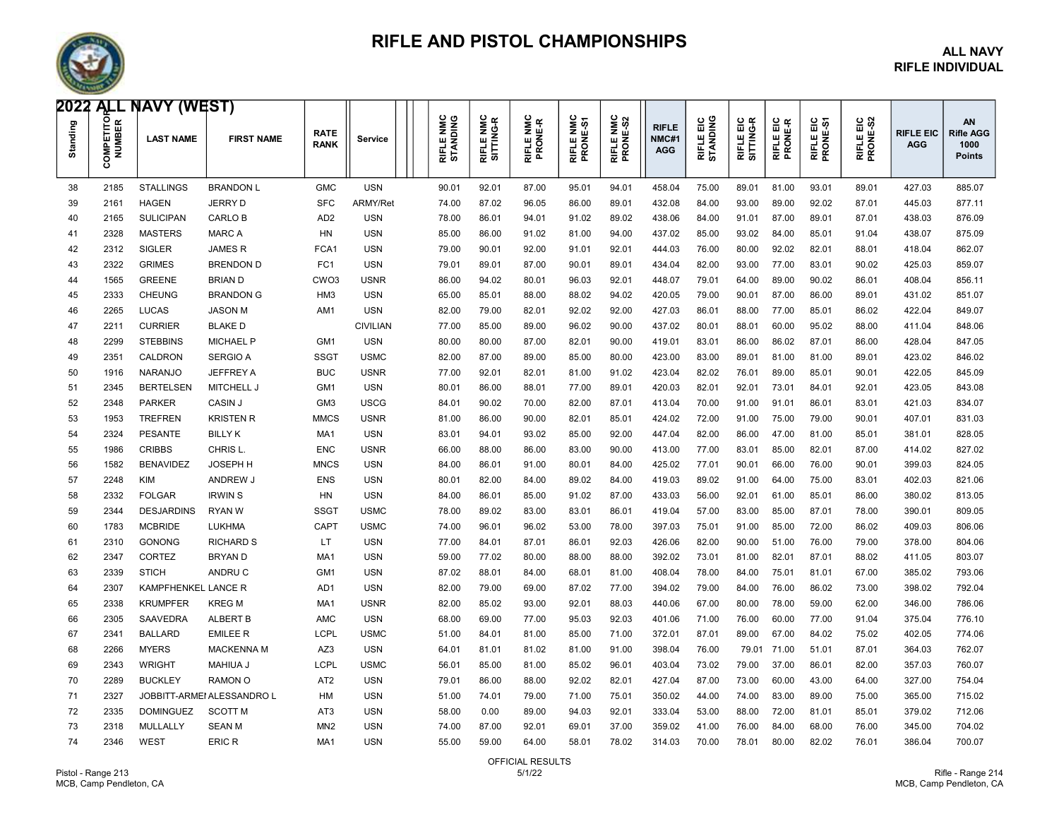

### RIFLE AND PISTOL CHAMPIONSHIPS ALL NAVY

## RIFLE INDIVIDUAL

| 2022 ALL NAVY (WEST) |               |                     |                            |                            |                 |                              |       |                                       |                      |                       |                       |                                     |                              |                       |                      |                       |                       |                                |                                                        |
|----------------------|---------------|---------------------|----------------------------|----------------------------|-----------------|------------------------------|-------|---------------------------------------|----------------------|-----------------------|-----------------------|-------------------------------------|------------------------------|-----------------------|----------------------|-----------------------|-----------------------|--------------------------------|--------------------------------------------------------|
| Standing             | OMPETITO<br>ō | <b>LAST NAME</b>    | <b>FIRST NAME</b>          | <b>RATE</b><br><b>RANK</b> | Service         | <b>RIFLE NMC</b><br>STANDING |       | <b>RIFLE NMC</b><br>Ť<br>ଡ଼<br>SITTIN | RIFLE NMC<br>PRONE-R | RIFLE NMC<br>PRONE-S1 | RIFLE NMC<br>PRONE-S2 | <b>RIFLE</b><br>NMC#1<br><b>AGG</b> | و و<br>RIFLE EIC<br>STANDING | RIFLE EIC<br>SITTNG-R | RIFLE EIC<br>PRONE-R | RIFLE EIC<br>PRONE-S1 | RIFLE EIC<br>PRONE-S2 | <b>RIFLE EIC</b><br><b>AGG</b> | <b>AN</b><br><b>Rifle AGG</b><br>1000<br><b>Points</b> |
| 38                   | 2185          | <b>STALLINGS</b>    | <b>BRANDON L</b>           | <b>GMC</b>                 | <b>USN</b>      | 90.01                        |       | 92.01                                 | 87.00                | 95.01                 | 94.01                 | 458.04                              | 75.00                        | 89.01                 | 81.00                | 93.01                 | 89.01                 | 427.03                         | 885.07                                                 |
| 39                   | 2161          | <b>HAGEN</b>        | <b>JERRY D</b>             | <b>SFC</b>                 | <b>ARMY/Ret</b> |                              | 74.00 | 87.02                                 | 96.05                | 86.00                 | 89.01                 | 432.08                              | 84.00                        | 93.00                 | 89.00                | 92.02                 | 87.01                 | 445.03                         | 877.11                                                 |
| 40                   | 2165          | <b>SULICIPAN</b>    | CARLO B                    | AD <sub>2</sub>            | <b>USN</b>      |                              | 78.00 | 86.01                                 | 94.01                | 91.02                 | 89.02                 | 438.06                              | 84.00                        | 91.01                 | 87.00                | 89.01                 | 87.01                 | 438.03                         | 876.09                                                 |
| 41                   | 2328          | <b>MASTERS</b>      | <b>MARC A</b>              | HN                         | <b>USN</b>      |                              | 85.00 | 86.00                                 | 91.02                | 81.00                 | 94.00                 | 437.02                              | 85.00                        | 93.02                 | 84.00                | 85.01                 | 91.04                 | 438.07                         | 875.09                                                 |
| 42                   | 2312          | <b>SIGLER</b>       | <b>JAMESR</b>              | FCA <sub>1</sub>           | <b>USN</b>      |                              | 79.00 | 90.01                                 | 92.00                | 91.01                 | 92.01                 | 444.03                              | 76.00                        | 80.00                 | 92.02                | 82.01                 | 88.01                 | 418.04                         | 862.07                                                 |
| 43                   | 2322          | <b>GRIMES</b>       | <b>BRENDON D</b>           | FC <sub>1</sub>            | <b>USN</b>      |                              | 79.01 | 89.01                                 | 87.00                | 90.01                 | 89.01                 | 434.04                              | 82.00                        | 93.00                 | 77.00                | 83.01                 | 90.02                 | 425.03                         | 859.07                                                 |
| 44                   | 1565          | <b>GREENE</b>       | <b>BRIAN D</b>             | CWO <sub>3</sub>           | <b>USNR</b>     |                              | 86.00 | 94.02                                 | 80.01                | 96.03                 | 92.01                 | 448.07                              | 79.01                        | 64.00                 | 89.00                | 90.02                 | 86.01                 | 408.04                         | 856.11                                                 |
| 45                   | 2333          | <b>CHEUNG</b>       | <b>BRANDON G</b>           | HM3                        | <b>USN</b>      |                              | 65.00 | 85.01                                 | 88.00                | 88.02                 | 94.02                 | 420.05                              | 79.00                        | 90.01                 | 87.00                | 86.00                 | 89.01                 | 431.02                         | 851.07                                                 |
| 46                   | 2265          | <b>LUCAS</b>        | <b>JASON M</b>             | AM <sub>1</sub>            | <b>USN</b>      |                              | 82.00 | 79.00                                 | 82.01                | 92.02                 | 92.00                 | 427.03                              | 86.01                        | 88.00                 | 77.00                | 85.01                 | 86.02                 | 422.04                         | 849.07                                                 |
| 47                   | 221'          | <b>CURRIER</b>      | <b>BLAKED</b>              |                            | <b>CIVILIAN</b> |                              | 77.00 | 85.00                                 | 89.00                | 96.02                 | 90.00                 | 437.02                              | 80.01                        | 88.01                 | 60.00                | 95.02                 | 88.00                 | 411.04                         | 848.06                                                 |
| 48                   | 2299          | <b>STEBBINS</b>     | <b>MICHAEL P</b>           | GM <sub>1</sub>            | <b>USN</b>      |                              | 80.00 | 80.00                                 | 87.00                | 82.01                 | 90.00                 | 419.01                              | 83.01                        | 86.00                 | 86.02                | 87.01                 | 86.00                 | 428.04                         | 847.05                                                 |
| 49                   | 2351          | CALDRON             | <b>SERGIO A</b>            | <b>SSGT</b>                | <b>USMC</b>     |                              | 82.00 | 87.00                                 | 89.00                | 85.00                 | 80.00                 | 423.00                              | 83.00                        | 89.01                 | 81.00                | 81.00                 | 89.01                 | 423.02                         | 846.02                                                 |
| 50                   | 1916          | <b>NARANJO</b>      | <b>JEFFREY A</b>           | <b>BUC</b>                 | <b>USNR</b>     |                              | 77.00 | 92.01                                 | 82.01                | 81.00                 | 91.02                 | 423.04                              | 82.02                        | 76.01                 | 89.00                | 85.01                 | 90.01                 | 422.05                         | 845.09                                                 |
| 51                   | 2345          | <b>BERTELSEN</b>    | MITCHELL J                 | GM1                        | <b>USN</b>      |                              | 80.01 | 86.00                                 | 88.01                | 77.00                 | 89.01                 | 420.03                              | 82.01                        | 92.01                 | 73.01                | 84.01                 | 92.01                 | 423.05                         | 843.08                                                 |
| 52                   | 2348          | <b>PARKER</b>       | <b>CASIN J</b>             | GM <sub>3</sub>            | <b>USCG</b>     |                              | 84.01 | 90.02                                 | 70.00                | 82.00                 | 87.01                 | 413.04                              | 70.00                        | 91.00                 | 91.01                | 86.01                 | 83.01                 | 421.03                         | 834.07                                                 |
| 53                   | 1953          | <b>TREFREN</b>      | <b>KRISTEN R</b>           | <b>MMCS</b>                | <b>USNR</b>     |                              | 81.00 | 86.00                                 | 90.00                | 82.01                 | 85.01                 | 424.02                              | 72.00                        | 91.00                 | 75.00                | 79.00                 | 90.01                 | 407.01                         | 831.03                                                 |
| 54                   | 2324          | <b>PESANTE</b>      | <b>BILLY K</b>             | MA <sub>1</sub>            | <b>USN</b>      |                              | 83.01 | 94.01                                 | 93.02                | 85.00                 | 92.00                 | 447.04                              | 82.00                        | 86.00                 | 47.00                | 81.00                 | 85.01                 | 381.01                         | 828.05                                                 |
| 55                   | 1986          | <b>CRIBBS</b>       | CHRIS L.                   | <b>ENC</b>                 | <b>USNR</b>     |                              | 66.00 | 88.00                                 | 86.00                | 83.00                 | 90.00                 | 413.00                              | 77.00                        | 83.01                 | 85.00                | 82.01                 | 87.00                 | 414.02                         | 827.02                                                 |
| 56                   | 1582          | <b>BENAVIDEZ</b>    | <b>JOSEPH H</b>            | <b>MNCS</b>                | <b>USN</b>      |                              | 84.00 | 86.01                                 | 91.00                | 80.01                 | 84.00                 | 425.02                              | 77.01                        | 90.01                 | 66.00                | 76.00                 | 90.01                 | 399.03                         | 824.05                                                 |
| 57                   | 2248          | <b>KIM</b>          | ANDREW J                   | <b>ENS</b>                 | <b>USN</b>      | 80.01                        |       | 82.00                                 | 84.00                | 89.02                 | 84.00                 | 419.03                              | 89.02                        | 91.00                 | 64.00                | 75.00                 | 83.01                 | 402.03                         | 821.06                                                 |
| 58                   | 2332          | <b>FOLGAR</b>       | <b>IRWIN S</b>             | <b>HN</b>                  | <b>USN</b>      |                              | 84.00 | 86.01                                 | 85.00                | 91.02                 | 87.00                 | 433.03                              | 56.00                        | 92.01                 | 61.00                | 85.01                 | 86.00                 | 380.02                         | 813.05                                                 |
| 59                   | 2344          | <b>DESJARDINS</b>   | <b>RYAN W</b>              | SSG <sub>1</sub>           | <b>USMC</b>     |                              | 78.00 | 89.02                                 | 83.00                | 83.01                 | 86.01                 | 419.04                              | 57.00                        | 83.00                 | 85.00                | 87.01                 | 78.00                 | 390.01                         | 809.05                                                 |
| 60                   | 1783          | <b>MCBRIDE</b>      | <b>LUKHMA</b>              | CAPT                       | <b>USMC</b>     |                              | 74.00 | 96.01                                 | 96.02                | 53.00                 | 78.00                 | 397.03                              | 75.01                        | 91.00                 | 85.00                | 72.00                 | 86.02                 | 409.03                         | 806.06                                                 |
| 61                   | 2310          | <b>GONONG</b>       | <b>RICHARD S</b>           | LT.                        | <b>USN</b>      |                              | 77.00 | 84.01                                 | 87.01                | 86.01                 | 92.03                 | 426.06                              | 82.00                        | 90.00                 | 51.00                | 76.00                 | 79.00                 | 378.00                         | 804.06                                                 |
| 62                   | 2347          | CORTEZ              | <b>BRYAND</b>              | MA <sub>1</sub>            | <b>USN</b>      |                              | 59.00 | 77.02                                 | 80.00                | 88.00                 | 88.00                 | 392.02                              | 73.01                        | 81.00                 | 82.01                | 87.01                 | 88.02                 | 411.05                         | 803.07                                                 |
| 63                   | 2339          | <b>STICH</b>        | ANDRU C                    | GM <sub>1</sub>            | <b>USN</b>      |                              | 87.02 | 88.01                                 | 84.00                | 68.01                 | 81.00                 | 408.04                              | 78.00                        | 84.00                 | 75.01                | 81.01                 | 67.00                 | 385.02                         | 793.06                                                 |
| 64                   | 2307          | KAMPFHENKEL LANCE R |                            | AD <sub>1</sub>            | <b>USN</b>      |                              | 82.00 | 79.00                                 | 69.00                | 87.02                 | 77.00                 | 394.02                              | 79.00                        | 84.00                 | 76.00                | 86.02                 | 73.00                 | 398.02                         | 792.04                                                 |
| 65                   | 2338          | <b>KRUMPFER</b>     | <b>KREG M</b>              | MA <sub>1</sub>            | <b>USNR</b>     |                              | 82.00 | 85.02                                 | 93.00                | 92.01                 | 88.03                 | 440.06                              | 67.00                        | 80.00                 | 78.00                | 59.00                 | 62.00                 | 346.00                         | 786.06                                                 |
| 66                   | 2305          | <b>SAAVEDRA</b>     | <b>ALBERT B</b>            | AMC                        | <b>USN</b>      |                              | 68.00 | 69.00                                 | 77.00                | 95.03                 | 92.03                 | 401.06                              | 71.00                        | 76.00                 | 60.00                | 77.00                 | 91.04                 | 375.04                         | 776.10                                                 |
| 67                   | 2341          | <b>BALLARD</b>      | <b>EMILEE R</b>            | <b>LCPI</b>                | <b>USMC</b>     |                              | 51.00 | 84.01                                 | 81.00                | 85.00                 | 71.00                 | 372.01                              | 87.01                        | 89.00                 | 67.00                | 84.02                 | 75.02                 | 402.05                         | 774.06                                                 |
| 68                   | 2266          | <b>MYERS</b>        | <b>MACKENNA M</b>          | AZ3                        | <b>USN</b>      |                              | 64.01 | 81.01                                 | 81.02                | 81.00                 | 91.00                 | 398.04                              | 76.00                        | 79.01                 | 71.00                | 51.01                 | 87.01                 | 364.03                         | 762.07                                                 |
| 69                   | 2343          | <b>WRIGHT</b>       | <b>MAHIUA J</b>            | LCPL                       | <b>USMC</b>     |                              | 56.01 | 85.00                                 | 81.00                | 85.02                 | 96.01                 | 403.04                              | 73.02                        | 79.00                 | 37.00                | 86.01                 | 82.00                 | 357.03                         | 760.07                                                 |
| 70                   | 2289          | <b>BUCKLEY</b>      | RAMON O                    | AT <sub>2</sub>            | <b>USN</b>      |                              | 79.01 | 86.00                                 | 88.00                | 92.02                 | 82.01                 | 427.04                              | 87.00                        | 73.00                 | 60.00                | 43.00                 | 64.00                 | 327.00                         | 754.04                                                 |
| 71                   | 2327          |                     | JOBBITT-ARMEI ALESSANDRO L | <b>HM</b>                  | <b>USN</b>      |                              | 51.00 | 74.01                                 | 79.00                | 71.00                 | 75.01                 | 350.02                              | 44.00                        | 74.00                 | 83.00                | 89.00                 | 75.00                 | 365.00                         | 715.02                                                 |
| 72                   | 2335          | <b>DOMINGUEZ</b>    | <b>SCOTT M</b>             | AT3                        | USN             |                              | 58.00 | 0.00                                  | 89.00                | 94.03                 | 92.01                 | 333.04                              | 53.00                        | 88.00                 | 72.00                | 81.01                 | 85.01                 | 379.02                         | 712.06                                                 |
| 73                   | 2318          | MULLALLY            | <b>SEAN M</b>              | MN <sub>2</sub>            | <b>USN</b>      |                              | 74.00 | 87.00                                 | 92.01                | 69.01                 | 37.00                 | 359.02                              | 41.00                        | 76.00                 | 84.00                | 68.00                 | 76.00                 | 345.00                         | 704.02                                                 |
| 74                   | 2346          | WEST                | <b>ERIC R</b>              | MA <sub>1</sub>            | <b>USN</b>      |                              | 55.00 | 59.00                                 | 64.00                | 58.01                 | 78.02                 | 314.03                              | 70.00                        | 78.01                 | 80.00                | 82.02                 | 76.01                 | 386.04                         | 700.07                                                 |